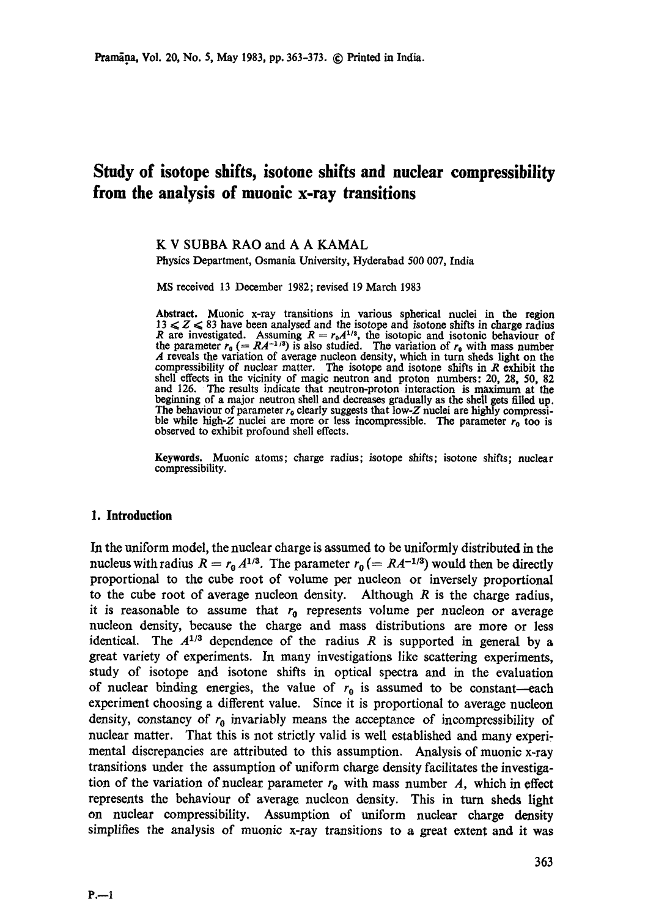# **Study of isotope shifts, isotone shifts and nuclear compressibility from the analysis of muonic x-ray transitions**

## K V SUBBA RAO and A A KAMAL

Physics Department, Osmania University, Hyderabad 500 007, India

MS received 13 December 1982; revised 19 March 1983

**Abstract.** Muonic x-ray transitions in various spherical nuclei in the **region**   $13 \leq Z \leq 83$  have been analysed and the isotope and isotone shifts in charge radius R are investigated. Assuming  $R = r_0 A^{1/3}$ , the isotopic and isotonic behaviour of the parameter  $r_0 (= RA^{-1/3})$  is also studied. The variation of  $r_0$  with mass number A reveals the variation of average nucleon density, which in turn sheds light on the compressibility of nuclear matter. The isotope and isotone shifts in R exhibit the shell effects in the vicinity of magic neutron and proton numbers: 20, 28, 50, 82 and 126. The results indicate that neutron-proton interaction is maximum at **the**  beginning of a major neutron shell and decreases gradually as the shell gets filled up. The behaviour of parameter  $r_0$  clearly suggests that low-Z nuclei are highly compressible while high-Z nuclei are more or less incompressible. The parameter  $r_0$  too is observed to exhibit profound shell effects.

**Keywords.** Muonic atoms; charge radius; isotope shifts; isotone shifts; nuclear compressibility.

### **1. Introduction**

In the uniform model, the nuclear charge is assumed to be uniformly distributed in the nucleus with radius  $R = r_0 A^{1/3}$ . The parameter  $r_0 (= RA^{-1/3})$  would then be directly proportional to the cube root of volume per nucleon or inversely proportional to the cube root of average nucleon density. Although  $R$  is the charge radius, it is reasonable to assume that  $r_0$  represents volume per nucleon or average nucleon density, because the charge and mass distributions are more or less identical. The  $A^{1/3}$  dependence of the radius R is supported in general by a great variety of experiments. In many investigations like scattering experiments, study of isotope and isotone shifts in optical spectra and in the evaluation of nuclear binding energies, the value of  $r_0$  is assumed to be constant-each experiment choosing a different value. Since it is proportional to average nuelcon density, constancy of  $r_0$  invariably means the acceptance of incompressibility of nuclear matter. That this is not strictly valid is well established and many experimental discrepancies are attributed to this assumption. Analysis of muonic x-ray transitions under the assumption of uniform charge density facilitates the investigation of the variation of nuclear parameter  $r_0$  with mass number A, which in effect represents the behaviour of average nucleon density. This in turn sheds light on nuclear compressibility. Assumption of uniform nuclear charge density simplifies the analysis of muonic x-ray transitions to a great extent and it was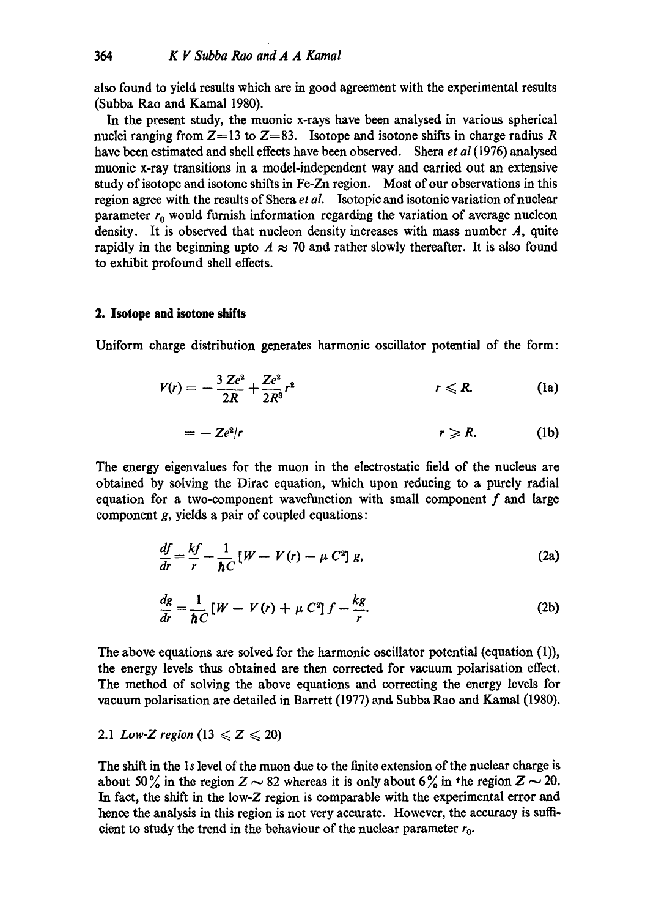also found to yield results which are in good agreement with the experimental results (Subba Rao and Kamal 1980).

In the present study, the muonic x-rays have been analysed in various spherical nuclei ranging from  $Z=13$  to  $Z=83$ . Isotope and isotone shifts in charge radius R have been estimated and shell effects have been observed. Shera *et al* (1976) analysed muonic x-ray transitions in a model-independent way and carried out an extensive study of isotope and isotone shifts in Fe-Zn region. Most of our observations in this region agree with the results of Shera *et al.* Isotopic and isotonic variation of nuclear parameter  $r_0$  would furnish information regarding the variation of average nucleon density. It is observed that nucleon density increases with mass number  $A$ , quite rapidly in the beginning upto  $A \approx 70$  and rather slowly thereafter. It is also found to exhibit profound shell effects.

### **2. Isotope and isotone shifts**

Uniform charge distribution generates harmonic oscillator potential of the form:

$$
V(r) = -\frac{3 Z e^2}{2R} + \frac{Z e^2}{2R^3} r^2 \qquad r \leq R.
$$
 (1a)

$$
= -\mathbb{Z}e^2/r \qquad \qquad r \geqslant R. \qquad \qquad (1b)
$$

The energy eigenvalues for the muon in the electrostatic field of the nucleus are obtained by solving the Dirac equation, which upon reducing to a purely radial equation for a two-component wavefunction with small component  $f$  and large component g, yields a pair of coupled equations:

$$
\frac{df}{dr} = \frac{kf}{r} - \frac{1}{\hbar C} \left[ W - V(r) - \mu C^2 \right] g,
$$
\n(2a)

$$
\frac{dg}{dr} = \frac{1}{\hbar C} \left[ W - V(r) + \mu C^2 \right] f - \frac{kg}{r}.
$$
 (2b)

The above equations are solved for the harmonic oscillator potential (equation (1)), the energy levels thus obtained are then corrected for vacuum polarisation effect. The method of solving the above equations and correcting the energy levels for vacuum polarisation are detailed in Barrett (1977) and Subba Rao and Kamal (1980).

# 2.1 *Low-Z region* (13  $\leq Z \leq 20$ )

The shift in the 1s level of the muon due to the finite extension of the nuclear charge is about 50% in the region  $Z \sim 82$  whereas it is only about 6% in the region  $Z \sim 20$ . In fact, the shift in the low-Z region is comparable with the experimental error and hence the analysis in this region is not very accurate. However, the accuracy is sufficient to study the trend in the behaviour of the nuclear parameter  $r_0$ .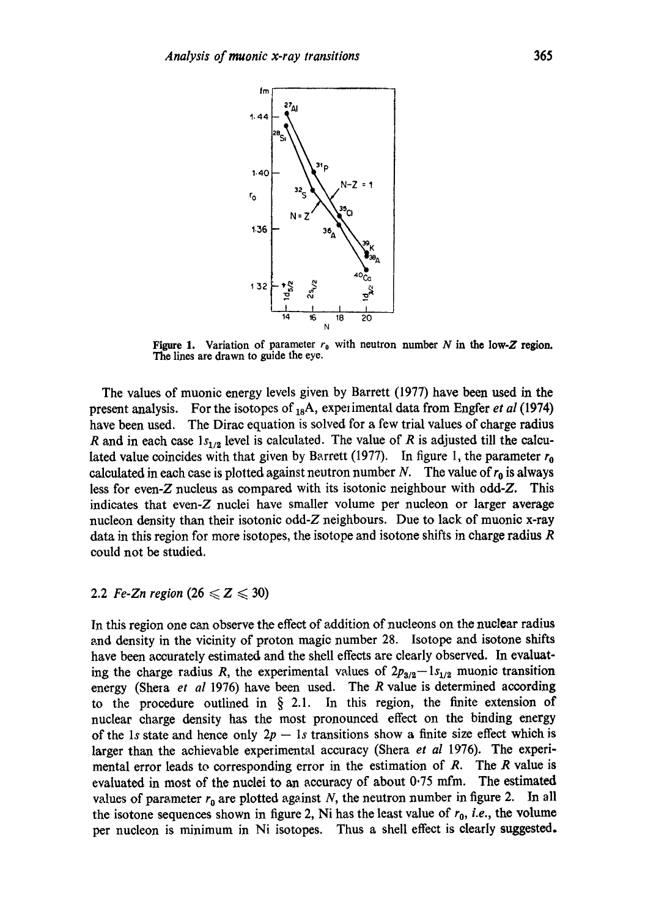

Figure 1. Variation of parameter  $r_0$  with neutron number N in the low-Z region. The lines are drawn to guide the eye.

The values of muonic energy levels given by Barrett (1977) have been used in the present analysis. For the isotopes of  $_{18}A$ , experimental data from Engfer *et al* (1974) have been used. The Dirae equation is solved for a few trial values of charge radius R and in each case  $1s_{1/2}$  level is calculated. The value of R is adjusted till the calculated value coincides with that given by Barrett (1977). In figure 1, the parameter  $r_0$ calculated in each case is plotted against neutron number N. The value of  $r_0$  is always less for even-Z nucleus as compared with its isotonic neighbour with odd-Z. This indicates that even-Z nuclei have smaller volume per nucleon or larger average nucleon density than their isotonic odd-Z neighbours. Due to lack of muonie x-ray data in this region for more isotopes, the isotope and isotone shifts in charge radius R could not be studied.

# 2.2 *Fe-Zn region*  $(26 \le Z \le 30)$

In this region one can observe the effect of addition of nucleons on the nuclear radius and density in the vicinity of proton magic number 28. Isotope and isotone shifts have been accurately estimated and the shell effects are clearly observed. In evaluating the charge radius R, the experimental values of  $2p_{8/2}-1s_{1/2}$  muonic transition energy (Sheta *et al* 1976) have been used. The R value is determined according to the procedure outlined in  $\S$  2.1. In this region, the finite extension of nuclear charge density has the most pronounced effect on the binding energy of the 1s state and hence only  $2p - 1s$  transitions show a finite size effect which is larger than the achievable experimental accuracy (Sbera *et al* 1976). The experimental error leads to corresponding error in the estimation of  $R$ . The  $R$  value is evaluated in most of the nuclei to an accuracy of about 0.75 mfm. The estimated values of parameter  $r_0$  are plotted against N, the neutron number in figure 2. In all the isotone sequences shown in figure 2, Ni has the least value of  $r_0$ , *i.e.*, the volume per nucleon is minimum in Ni isotopes. Thus a shell effect is clearly suggested.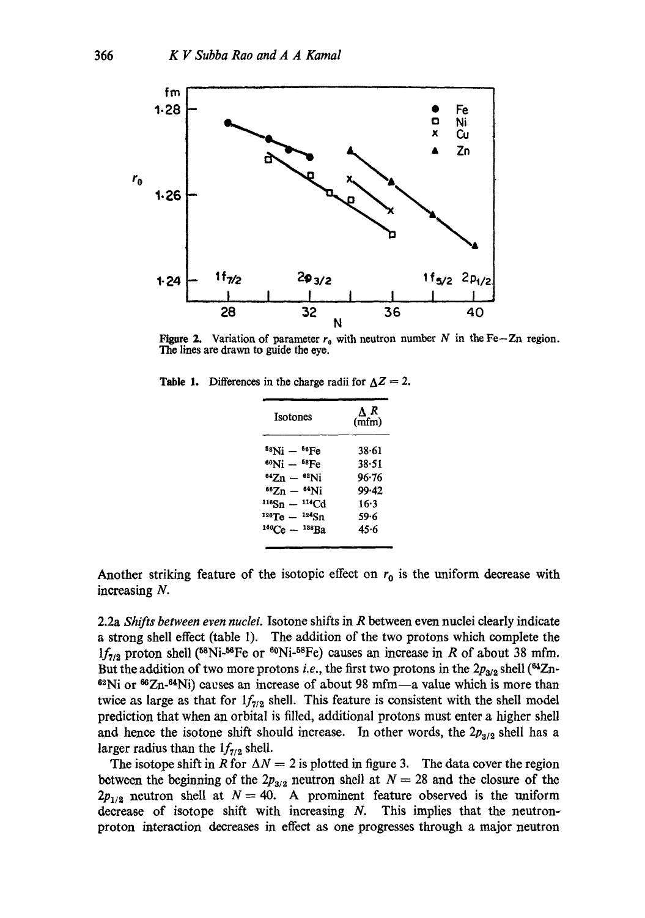

Figure 2. Variation of parameter  $r_0$  with neutron number N in the Fe-Zn region. **The** lines are drawn to guide the eye.

**Table 1.** Differences in the charge radii for  $\Delta Z = 2$ .

| ΔR<br>(mfm) |
|-------------|
| $38 - 61$   |
| 38.51       |
| 96.76       |
| 99.42       |
| $16-3$      |
| 59.6        |
| 45.6        |
|             |

Another striking feature of the isotopic effect on  $r_0$  is the uniform decrease with increasing N.

2.2a *Shifts between even nuclei.* Isotone shifts in R between even nuclei clearly indicate a strong shell effect (table 1). The addition of the two protons which complete the  $1f_{7/2}$  proton shell (<sup>58</sup>Ni-<sup>56</sup>Fe or <sup>60</sup>Ni-<sup>58</sup>Fe) causes an increase in R of about 38 mfm. But the addition of two more protons *i.e.*, the first two protons in the  $2p_{3/2}$  shell (<sup>64</sup>Zn- $62$ Ni or  $66Zn-64Ni$ ) causes an increase of about 98 mfm-a value which is more than twice as large as that for  $1f_{7/2}$  shell. This feature is consistent with the shell model prediction that when an orbital is filled, additional protons must enter a higher shell and hence the isotone shift should increase. In other words, the  $2p_{3/2}$  shell has a larger radius than the  $1f_{7/2}$  shell.

The isotope shift in R for  $\Delta N = 2$  is plotted in figure 3. The data cover the region between the beginning of the  $2p_{3/2}$  neutron shell at  $N = 28$  and the closure of the  $2p_{1/2}$  neutron shell at  $N = 40$ . A prominent feature observed is the uniform decrease of isotope shift with increasing  $N$ . This implies that the neutronproton interaction decreases in effect as one progresses through a major neutron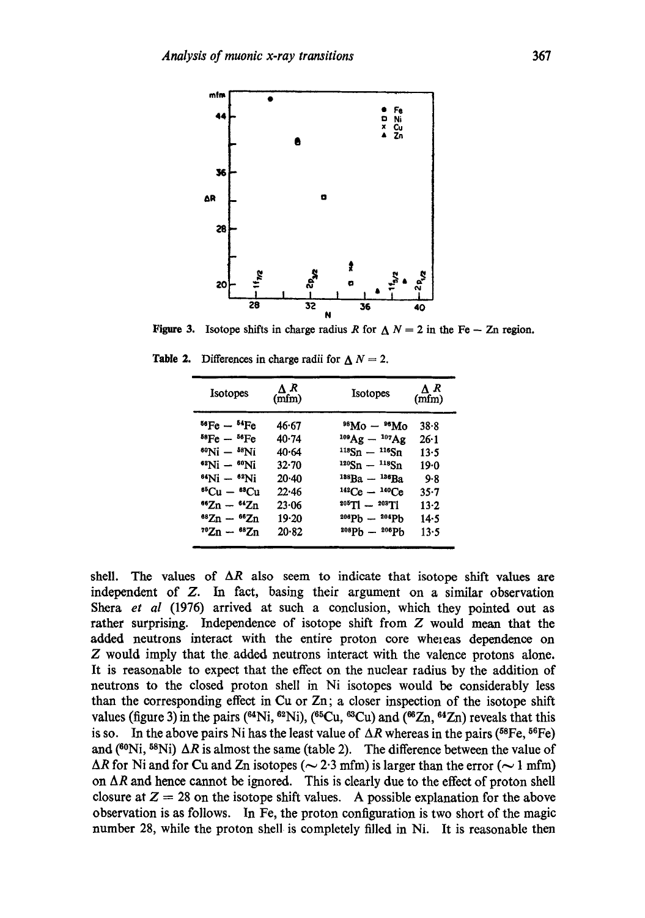

**Figure 3.** Isotope shifts in charge radius R for  $\Delta N = 2$  in the Fe - Zn region.

| <b>Isotopes</b>                       | ΛR<br>(mfm) | <b>Isotopes</b>                       | ΛR<br>(mfm) |
|---------------------------------------|-------------|---------------------------------------|-------------|
| <sup>56</sup> Fe — <sup>54</sup> Fe   | 46.67       | $^{98}Mo - ^{96}Mo$                   | $38 - 8$    |
| ${}^{58}\text{Fe} - {}^{56}\text{Fe}$ | 40.74       | $^{109}\text{Ag} - ^{107}\text{Ag}$   | $26 - 1$    |
| <sup>60</sup> Ni — <sup>58</sup> Ni   | 40.64       | $118Sn - 116Sn$                       | $13 - 5$    |
| 82Ni — <sup>60</sup> Ni               | $32 - 70$   | <sup>120</sup> Sn — <sup>118</sup> Sn | 19.0        |
| $^{64}$ Ni $ ^{62}$ Ni                | $20-40$     | $188\text{Ba} - 186\text{Ba}$         | 9.8         |
| $^{65}Cu - ^{63}Cu$                   | 22.46       | $^{142}Ce - ^{140}Ce$                 | $35 - 7$    |
| <sup>66</sup> Zn — <sup>64</sup> Zn   | 23.06       | $^{205}$ T1 - $^{203}$ T1             | $13-2$      |
| $88Zn - 66Zn$                         | 19.20       | $^{206}Pb - ^{204}Pb$                 | 14.5        |
| $^{70}Zn - ^{68}Zn$                   | $20 - 82$   | $^{208}Pb - ^{206}Pb$                 | 13.5        |

**Table 2.** Differences in charge radii for  $\Delta N = 2$ .

shell. The values of  $\Delta R$  also seem to indicate that isotope shift values are independent of Z. In fact, basing their argument on a similar observation Shera *et al* (1976) arrived at such a conclusion, which they pointed out as rather surprising. Independence of isotope shift from Z would mean that the added neutrons interact with the entire proton core whereas dependence on Z would imply that the added neutrons interact with the valence protons alone. It is reasonable to expect that the effect on the nuclear radius by the addition of neutrons to the closed proton shell in Ni isotopes would be considerably less than the corresponding effect in Cu or Zn; a closer inspection of the isotope shift values (figure 3) in the pairs ( $^{64}Ni$ ,  $^{62}Ni$ ), ( $^{65}Cu$ ,  $^{63}Cu$ ) and ( $^{66}Zn$ ,  $^{64}Zn$ ) reveals that this is so. In the above pairs Ni has the least value of  $\Delta R$  whereas in the pairs (<sup>58</sup>Fe, <sup>56</sup>Fe) and (<sup>60</sup>Ni, <sup>58</sup>Ni)  $\Delta R$  is almost the same (table 2). The difference between the value of  $\Delta R$  for Ni and for Cu and Zn isotopes ( $\sim$  2.3 mfm) is larger than the error ( $\sim$  1 mfm) on  $\Delta R$  and hence cannot be ignored. This is clearly due to the effect of proton shell closure at  $Z = 28$  on the isotope shift values. A possible explanation for the above observation is as follows. In Fe, the proton configuration is two short of the magic number 28, while the proton shell is completely filled in Ni. It is reasonable then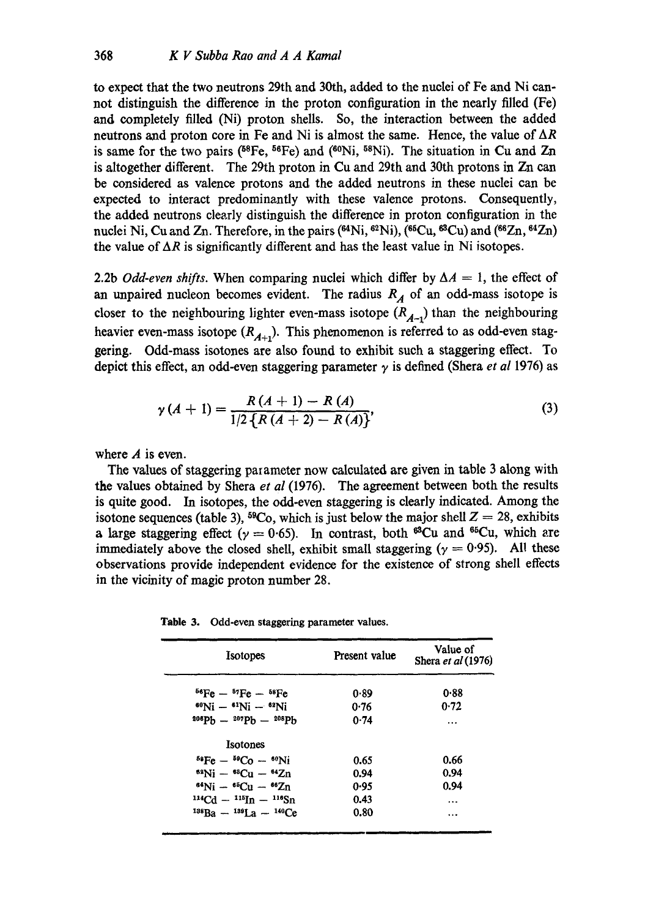to expect that the two neutrons 29th and 30th, added to the nuclei of Fe and Ni cannot distinguish the difference in the proton configuration in the nearly filled (Fe) and completely filled (Ni) proton shells. So, the interaction between the added neutrons and proton core in Fe and Ni is almost the same. Hence, the value of  $\Delta R$ is same for the two pairs ( $^{58}Fe$ ,  $^{56}Fe$ ) and ( $^{60}Ni$ ,  $^{58}Ni$ ). The situation in Cu and Zn is altogether different. The 29th proton in Cu and 29th and 30th protons in Zn can be considered as valence protons and the added neutrons in these nuclei can be expected to interact predominantly with these valence protons. Consequently, the added neutrons clearly distinguish the difference in proton configuration in the nuclei Ni, Cu and Zn. Therefore, in the pairs  $(^{64}\text{Ni}, ^{62}\text{Ni})$ ,  $(^{66}\text{Cu}, ^{68}\text{Cu})$  and  $(^{66}\text{Zn}, ^{64}\text{Zn})$ the value of  $\Delta R$  is significantly different and has the least value in Ni isotopes.

2.2b *Odd-even shifts*. When comparing nuclei which differ by  $\Delta A = 1$ , the effect of an unpaired nucleon becomes evident. The radius  $R_A$  of an odd-mass isotope is closer to the neighbouring lighter even-mass isotope  $(R_{A-1})$  than the neighbouring heavier even-mass isotope  $(R_{A+1})$ . This phenomenon is referred to as odd-even staggering. Odd-mass isotones are also found to exhibit such a staggering effect. To depict this effect, an odd-even staggering parameter  $\gamma$  is defined (Shera *et al* 1976) as

$$
\gamma(A + 1) = \frac{R(A + 1) - R(A)}{1/2 \{R(A + 2) - R(A)\}},
$$
\n(3)

where  $A$  is even.

The values of staggering parameter now calculated are given in table 3 along with the values obtained by Shera *et al* (1976). The agreement between both the results is quite good. In isotopes, the odd-even staggering is clearly indicated. Among the isotone sequences (table 3), <sup>59</sup>Co, which is just below the major shell  $Z = 28$ , exhibits a large staggering effect ( $\gamma = 0.65$ ). In contrast, both <sup>63</sup>Cu and <sup>65</sup>Cu, which are immediately above the closed shell, exhibit small staggering ( $y = 0.95$ ). All these observations provide independent evidence for the existence of strong shell effects in the vicinity of magic proton number 28.

**Table** 3. Odd-even staggering parameter values.

| <b>Isotopes</b>                           | Present value | Value of<br>Shera et al (1976) |
|-------------------------------------------|---------------|--------------------------------|
| $^{56}Fe - ^{57}Fe - ^{58}Fe$             | 0.89          | 0.88                           |
| $^{60}$ Ni - $^{61}$ Ni - $^{62}$ Ni      | 0.76          | 0.72                           |
| $208Ph = 207Ph = 208Ph$                   | 0.74          |                                |
| Isotones                                  |               |                                |
| ${}^{54}Fe - {}^{59}Co - {}^{60}Ni$       | 0.65          | 0.66                           |
| $88\text{Ni} - 88\text{Cu} - 64\text{Zn}$ | 0.94          | 0.94                           |
| $^{64}$ Ni -- $^{65}$ Cu -- $^{66}Zn$     | 0.95          | 0.94                           |
| $^{114}Cd - ^{115}In - ^{116}Sn$          | 0.43          |                                |
| $^{138}Ba - ^{139}Ia - ^{140}Ce$          | 0.80          | $\cdots$                       |
|                                           |               |                                |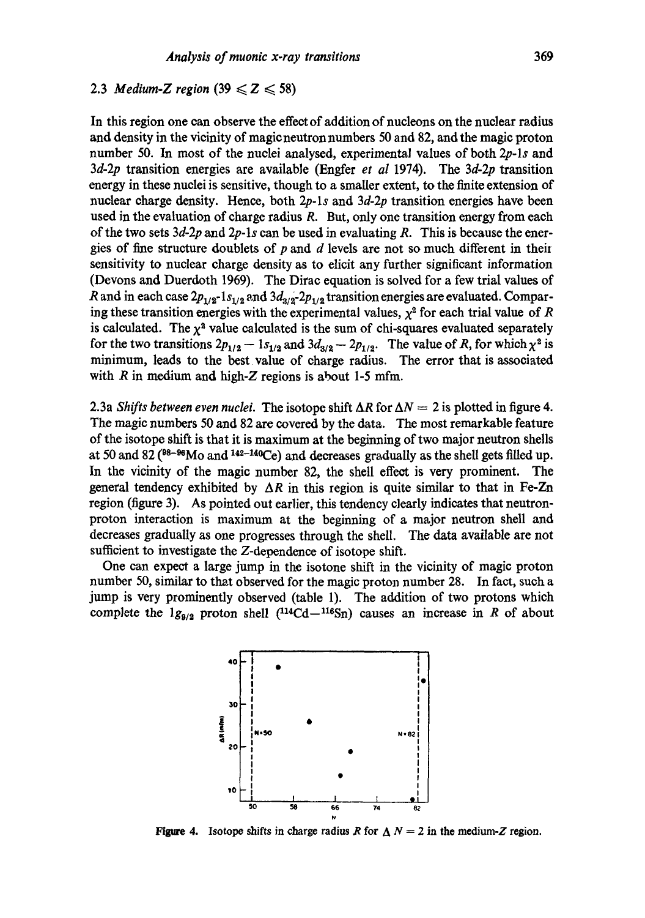# 2.3 *Medium-Z region*  $(39 \le Z \le 58)$

In this region one can observe the effect of addition of nucleons on the nuclear radius and density in the vicinity of magieneutron numbers 50 and 82, and the magic proton number 50. In most of the nuclei analysed, experimental values of both *2p-ls* and *3d-2p* transition energies are available (Engfer *et al* 1974). The *3d-2p* transition energy in these nuclei is sensitive, though to a smaller extent, to the finite extension of nuclear charge density. Hence, both *2p.ls* and *3d.2p* transition energies have been used in the evaluation of charge radius  $R$ . But, only one transition energy from each of the two sets *3d-2p* and *2p-ls* can be used in evaluating R. This is because the energies of fine structure doublets of  $p$  and  $d$  levels are not so much different in their sensitivity to nuclear charge density as to dicit any further significant information (Devons and Duerdoth 1969). The Dirae equation is solved for a few trial values of R and in each case  $2p_{1/2}$ -1s<sub>1/2</sub> and  $3d_{3/2}$ -2 $p_{1/2}$  transition energies are evaluated. Comparing these transition energies with the experimental values,  $\chi^2$  for each trial value of R is calculated. The  $\chi^2$  value calculated is the sum of chi-squares evaluated separately for the two transitions  $2p_{1/2} - 1s_{1/2}$  and  $3d_{3/2} - 2p_{1/2}$ . The value of R, for which  $\chi^2$  is minimum, leads to the best value of charge radius. The error that is associated with  $R$  in medium and high- $Z$  regions is about 1-5 mfm.

2.3a *Shifts between even nuclei*. The isotope shift  $\Delta R$  for  $\Delta N = 2$  is plotted in figure 4. The magic numbers 50 and 82 are covered by the data. The most remarkable feature of the isotope shift is that it is maximum at the beginning of two major neutron shells at 50 and 82 ( $8-86$ Mo and  $142-140$ Ce) and decreases gradually as the shell gets filled up. In the vicinity of the magic number 82, the shell effeot is very prominent. The general tendency exhibited by  $\Delta R$  in this region is quite similar to that in Fe-Zn region (figure 3). As pointed out earlier, this tendency clearly indicates that neutronproton interaction is maximum at the beginning of a major neutron shell and decreases gradually as one progresses through the shell. The data available are not sufficient to investigate the Z-dependence of isotope shift.

One can expect a large jump in the isotone shift in the vicinity of magic proton number 50, similar to that observed for the magic proton number 28. In fact, such a jump is very prominently observed (table 1). The addition of two protons which complete the  $1g_{9/2}$  proton shell (<sup>114</sup>Cd-<sup>116</sup>Sn) causes an increase in R of about



**Figure 4.** Isotope shifts in charge radius R for  $\Delta N = 2$  in the medium-Z region.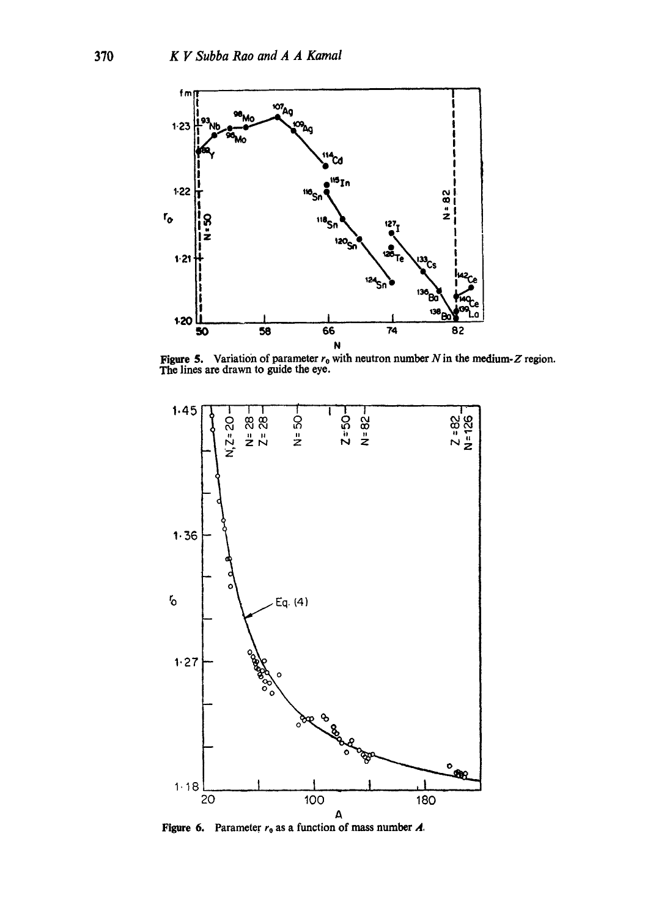

**Figure 5.** Variation of parameter  $r_0$  with neutron number N in the medium-Z region. The lines are drawn to guide the eye.



Figure **6.**  Parameter  $r_0$  as a function of mass number  $A_0$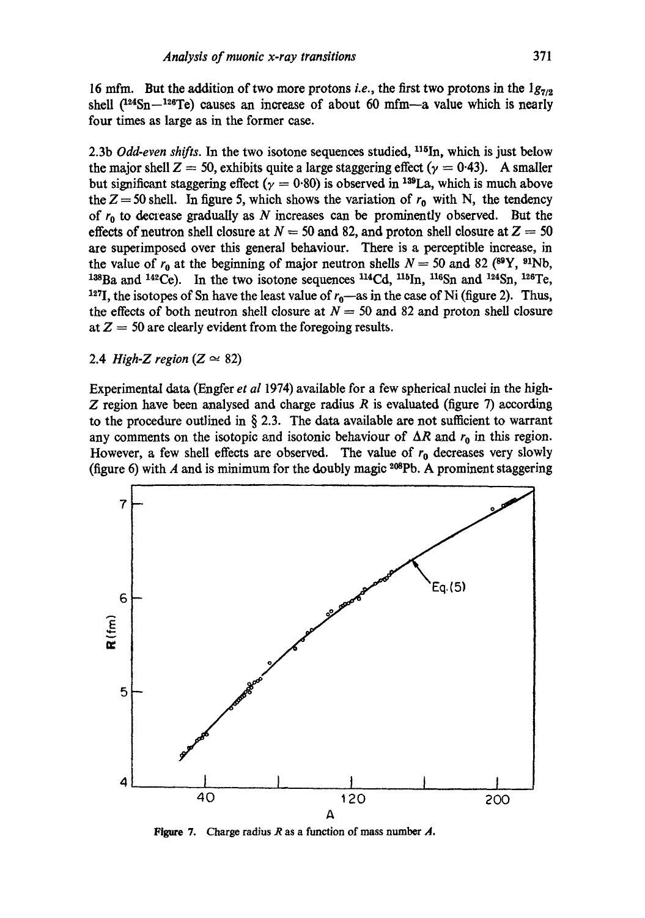16 mfm. But the addition of two more protons *i.e.*, the first two protons in the  $1g_{7/2}$ shell  $(^{124}Sn-^{126}Te)$  causes an increase of about 60 mfm--a value which is nearly four times as large as in the former case.

2.3b *Odd-even shifts*. In the two isotone sequences studied, <sup>115</sup>In, which is just below the major shell  $Z = 50$ , exhibits quite a large staggering effect ( $\gamma = 0.43$ ). A smaller but significant staggering effect ( $\gamma = 0.80$ ) is observed in <sup>139</sup>La, which is much above the  $Z = 50$  shell. In figure 5, which shows the variation of  $r_0$  with N, the tendency of  $r_0$  to decrease gradually as N increases can be prominently observed. But the effects of neutron shell closure at  $N = 50$  and 82, and proton shell closure at  $Z = 50$ are superimposed over this general behaviour. There is a perceptible increase, in the value of  $r_0$  at the beginning of major neutron shells  $N = 50$  and 82 (<sup>89</sup>Y, <sup>91</sup>Nb,  $138Ba$  and  $142Ce$ ). In the two isotone sequences  $114Cd$ ,  $116In$ ,  $116Sn$  and  $124Sn$ ,  $126Te$ , <sup>127</sup>I, the isotopes of Sn have the least value of  $r_0$ —as in the case of Ni (figure 2). Thus, the effects of both neutron shell closure at  $N = 50$  and 82 and proton shell closure at  $Z = 50$  are clearly evident from the foregoing results.

2.4 *High-Z region* ( $Z \approx 82$ )

Experimental data (Engfer *et al* 1974) available for a few spherical nuclei in the high-Z region have been analysed and charge radius R is evaluated (figure 7) according to the procedure outlined in  $\S$  2.3. The data available are not sufficient to warrant any comments on the isotopic and isotonic behaviour of  $\Delta R$  and  $r_0$  in this region. However, a few shell effects are observed. The value of  $r_0$  decreases very slowly (figure 6) with A and is minimum for the doubly magic  $^{208}Pb$ . A prominent staggering



**Figure 7.**  Charge radius R as a function of mass number **A.**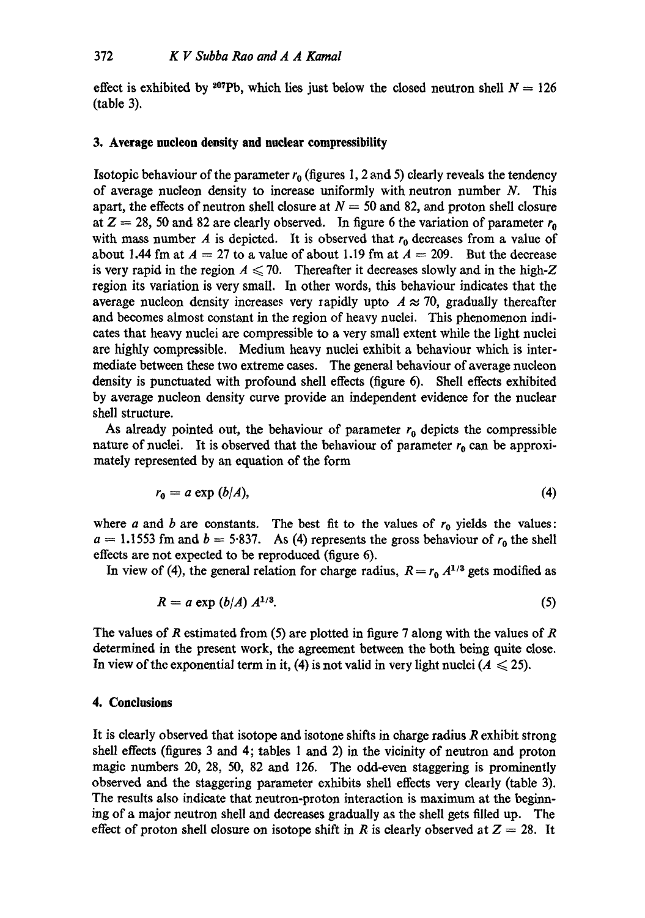effect is exhibited by <sup>207</sup>Pb, which lies just below the closed neutron shell  $N = 126$ (table 3).

## **3. Average nucleon density and nuclear compressibility**

Isotopic behaviour of the parameter  $r_0$  (figures 1, 2 and 5) clearly reveals the tendency of average nucleon density to increase uniformly with neutron number  $N$ . This apart, the effects of neutron shell closure at  $N = 50$  and 82, and proton shell closure at  $Z = 28$ , 50 and 82 are clearly observed. In figure 6 the variation of parameter  $r_0$ with mass number A is depicted. It is observed that  $r_0$  decreases from a value of about 1.44 fm at  $A = 27$  to a value of about 1.19 fm at  $A = 209$ . But the decrease is very rapid in the region  $A \le 70$ . Thereafter it decreases slowly and in the high-Z region its variation is very small. In other words, this behaviour indicates that the average nucleon density increases very rapidly upto  $A \approx 70$ , gradually thereafter and becomes almost constant in the region of heavy nuclei. This phenomenon indicates that heavy nuclei are compressible to a very small extent while the light nuclei are highly compressible. Medium heavy nuclei exhibit a behaviour which is intermediate between these two extreme cases. The general behaviour of average nucleon density is punctuated with profound shell effects (figure 6). Shell effects exhibited by average nucleon density curve provide an independent evidence for the nuclear shell structure.

As already pointed out, the behaviour of parameter  $r_0$  depicts the compressible nature of nuclei. It is observed that the behaviour of parameter  $r_0$  can be approximately represented by an equation of the form

$$
r_0 = a \exp(b/A), \tag{4}
$$

where a and b are constants. The best fit to the values of  $r_0$  yields the values:  $a = 1.1553$  fm and  $b = 5.837$ . As (4) represents the gross behaviour of  $r_0$  the shell effects are not expected to be reproduced (figure 6).

In view of (4), the general relation for charge radius,  $R = r_0 A^{1/3}$  gets modified as

$$
R = a \exp \left( \frac{b}{A} \right) A^{1/3}.
$$
 (5)

The values of R estimated from (5) are plotted in figure 7 along with the values of R determined in the present work, the agreement between the both being quite close. In view of the exponential term in it, (4) is not valid in very light nuclei ( $A \le 25$ ).

## **4. Conclusions**

It is clearly observed that isotope and isotone shifts in charge radius R exhibit strong shell effects (figures 3 and 4; tables 1 and 2) in the vicinity of neutron and proton magic numbers 20, 28, 50, 82 and 126. The odd-even staggering is prominently observed and the staggering parameter exhibits shell effects very clearly (table 3). The results also indicate that neutron-proton interaction is maximum at the beginning of a major neutron shell and decreases gradually as the shell gets filled up. The effect of proton shell closure on isotope shift in R is clearly observed at  $Z = 28$ . It